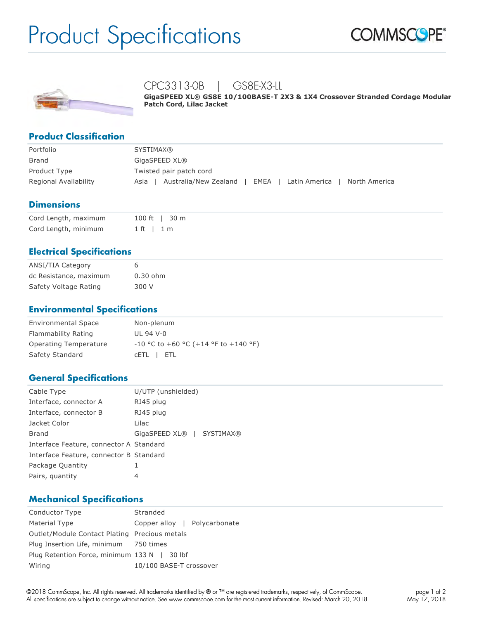# Product Specifications





# CPC3313-0B | GS8E-X3-LL

**GigaSPEED XL® GS8E 10/100BASE-T 2X3 & 1X4 Crossover Stranded Cordage Modular Patch Cord, Lilac Jacket**

### **Product Classification**

| Portfolio             | <b>SYSTIMAX®</b>                                                        |  |  |
|-----------------------|-------------------------------------------------------------------------|--|--|
| Brand                 | GigaSPEED XL®                                                           |  |  |
| Product Type          | Twisted pair patch cord                                                 |  |  |
| Regional Availability | Australia/New Zealand<br>EMEA<br>North America<br>Latin America<br>Asia |  |  |

#### **Dimensions**

| Cord Length, maximum | 100 ft   30 m |
|----------------------|---------------|
| Cord Length, minimum | $1$ ft $1$ m  |

# **Electrical Specifications**

| <b>ANSI/TIA Category</b> | 6          |
|--------------------------|------------|
| dc Resistance, maximum   | $0.30$ ohm |
| Safety Voltage Rating    | 300 V      |

#### **Environmental Specifications**

| <b>Environmental Space</b> | Non-plenum                             |
|----------------------------|----------------------------------------|
| Flammability Rating        | UL 94 V-0                              |
| Operating Temperature      | $-10$ °C to +60 °C (+14 °F to +140 °F) |
| Safety Standard            | CETL I ETL                             |

#### **General Specifications**

| Cable Type                              | U/UTP (unshielded)        |  |  |
|-----------------------------------------|---------------------------|--|--|
| Interface, connector A                  | RJ45 plug                 |  |  |
| Interface, connector B                  | RJ45 plug                 |  |  |
| Jacket Color                            | Lilac                     |  |  |
| Brand                                   | GigaSPEED XL®   SYSTIMAX® |  |  |
| Interface Feature, connector A Standard |                           |  |  |
| Interface Feature, connector B Standard |                           |  |  |
| Package Quantity                        | 1                         |  |  |
| Pairs, quantity                         | 4                         |  |  |

#### **Mechanical Specifications**

| Conductor Type                                | Stranded                     |  |  |
|-----------------------------------------------|------------------------------|--|--|
| Material Type                                 | Copper alloy   Polycarbonate |  |  |
| Outlet/Module Contact Plating Precious metals |                              |  |  |
| Plug Insertion Life, minimum 750 times        |                              |  |  |
| Plug Retention Force, minimum 133 N   30 lbf  |                              |  |  |
| Wiring                                        | 10/100 BASE-T crossover      |  |  |